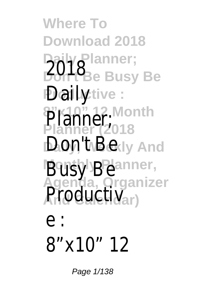**Where To Download 2018 Daily Planner; 2018** Busy Be Pailyictive: **8"x10" 12 Month** Planner<sup>, wor</sup> **Don**, ty Bekly And **Busy Bellanner, Agenda, Organizer** Productiv<sub>ar</sub>)

e :

## 8"x10" 12

Page  $1/138$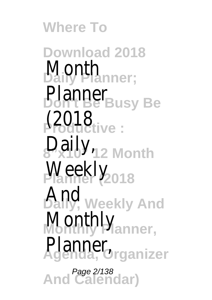**Where To Download 2018 Daily Planner;** Month **Planner** Busy Be **Productive :** (2018 **8"x10" 12 Month** Daily, Weekly<sub>(2018</sub> **And**, Weekly And Monthly<sub>lanner,</sub> **Agenda, Organizer** Planner, **And Calendar)** Page 2/138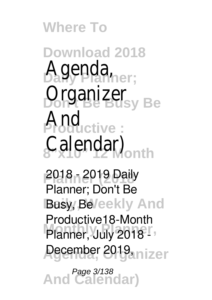**Where To**

**Download 2018** Agenda, ber; **Organizer**<sub>usy Be</sub> **Productive :** And **8"x10" 12 Month** Calendar)

**Planner (2018** 2018 - 2019 Daily Busy, Be/eekly And Planner, July 2018 -**Agenda, Organizer** December 2019, Planner; Don't Be Productive18-Month

**And Calendar)** Page 3/138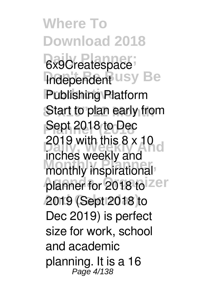**Where To Download 2018** 6x9Createspace **Independent USY Be Productive :** Publishing Platform **Start to plan early from Pept 2018 To Hed 2019 with this 8 x 10 d** monthly inspirational planner for 2018 to zer **And Calendar)** 2019 (Sept 2018 to Sept 2018 to Dec inches weekly and Dec 2019) is perfect size for work, school and academic planning. It is a 16 Page 4/138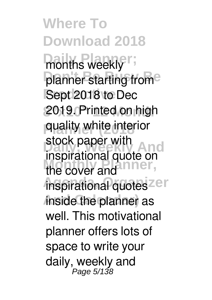**Where To Download 2018** months weekly<sup>";</sup> planner starting from<sup>e</sup> **Sept 2018 to Dec** 2019. Printed on high **Planner (2018** quality white interior slock paper will **And**<br>inspirational quote on the cover and inspirational quotes<sup>zer</sup> **And Calendar)** inside the planner as stock paper with well. This motivational planner offers lots of space to write your daily, weekly and Page 5/138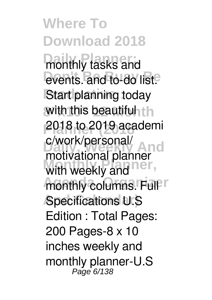**Where To Download 2018** monthly tasks and events. and to-do list<sup>e</sup> **Start planning today** with this beautiful th **Planner (2018** 2018 to 2019 academi **Daily, Weekly And** motivational planner with weekly and **ner**, monthly columns. Full IT **A**Specifications U.S c/work/personal/ Edition : Total Pages: 200 Pages-8 x 10 inches weekly and monthly planner-U.S Page 6/138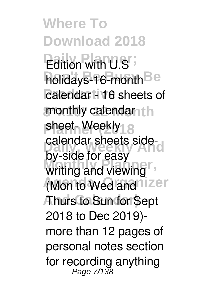**Where To Download 2018 Edition with U.S** holidays-16-month<sup>Be</sup> **Palendar - 16 sheets of** monthly calendar<sub>hth</sub> sheet- Weekly<sub>18</sub> calendar sheets sidewriting and viewing (Mon to Wed and nizer **And Calendar)** Thurs to Sun for Sept by-side for easy 2018 to Dec 2019) more than 12 pages of personal notes section for recording anything Page 7/138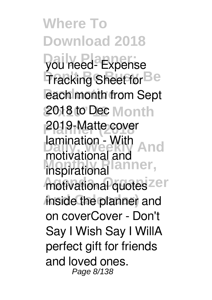**Where To Download 2018 Daily Planner;** you need- Expense **Tracking Sheet for Be Pach month from Sept 8"x10" 12 Month** 2018 to Dec **Planner (2018** 2019-Matte cover **Paintanon - Will And Inspirational lanner**, motivational quotes<sup>zer</sup> **And Calendar)** inside the planner and lamination - With on coverCover - Don't Say I Wish Say I WillA perfect gift for friends and loved ones. Page 8/138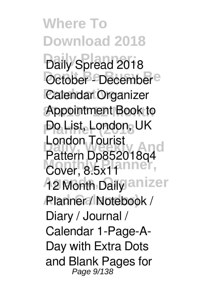**Where To Download 2018 Daily Spread 2018 October - December**<sup>e</sup> **Calendar Organizer** Appointment Book to **Po List, London, UK Daily, Weekly And** Pattern Dp852018q4 Cover, 8.5x11 **Ag Month Daily anizer** Planner / Notebook / London Tourist Diary / Journal / Calendar 1-Page-A-Day with Extra Dots and Blank Pages for Page 9/138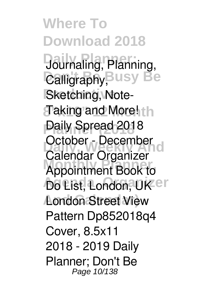**Where To Download 2018 Daily Planner;** Journaling, Planning, **Calligraphy, Busy Be Sketching, Note-8"x10" 12 Month** Taking and More! **Planner (2018** Daily Spread 2018 **Detailer**<br>Calendar Organizer **Monthly Planner,** Appointment Book to **Do List, London, UKer London Street View** October - December Pattern Dp852018q4 Cover, 8.5x11 2018 - 2019 Daily Planner; Don't Be Page 10/138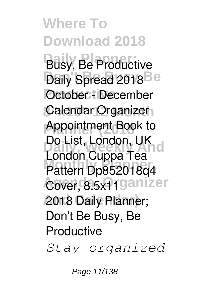**Where To Download 2018 Busy, Be Productive** Daily Spread 2018<sup>Be</sup> *<u>Poctober</u>* **:** December Calendar Organizer<sub>1</sub> **Appointment Book to Daily, Weekly And** London Cuppa Tea **Monthly Planner,** Pattern Dp852018q4 Cover, 8.5x<sup>1</sup>ganizer **And Calendar)** 2018 Daily Planner; Do List, London, UK Don't Be Busy, Be **Productive** *Stay organized*

Page 11/138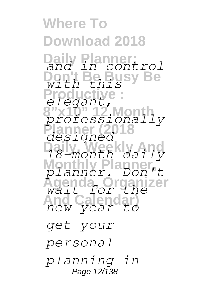**Where To Download 2018 Daily Planner; Don't Be Busy Be Productive : 8"x10" 12 Month** *professionally* **Planner (2018** *designed* **Daily, Weekly And Monthly Planner, Agenda, Organizer And Calendar)** *new year to and in control with this elegant, 18-month daily planner. Don't wait for the get your personal planning in* Page 12/138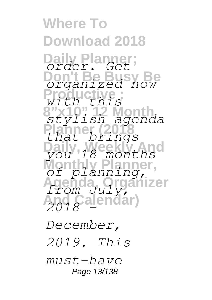**Where To Download 2018 Daily Planner; Don't Be Busy Be Productive : 8"x10" 12 Month Planner (2018 Daily, Weekly And Monthly Planner, Agenda, Organizer** m *July*,<br>Calendar) *order. Get organized now with this stylish agenda that brings you 18 months of planning, from July, 2018 -*

*December, 2019. This must-have* Page 13/138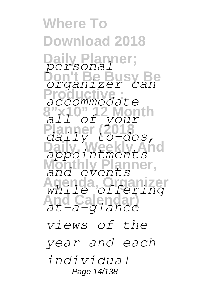**Where To Download 2018 Daily Planner; Don't Be Busy Be Productive : 8"x10" 12 Month Planner (2018 Daily, Weekly And Monthly Planner, Agenda, Organizer And Calendar)** *personal organizer can accommodate all of your daily to-dos, appointments and events while offering at-a-glance views of the year and each individual* Page 14/138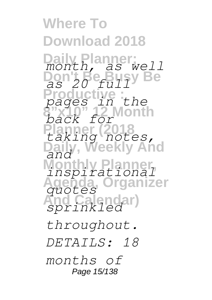**Where To Download 2018 Daily Planner; Don't Be Busy Be Productive : 8"x10" 12 Month Planner (2018** *taking notes,* And **Monthly Planner,** *rationar*<br>a, Organizer **And Calendar)** *sprinkled month, as well as 20 full pages in the back for and inspirational quotes throughout. DETAILS: 18 months of* Page 15/138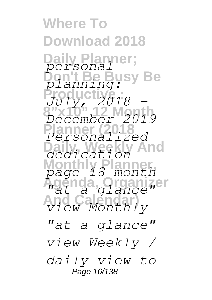**Where To Download 2018 Daily Planner; Busy Be** Productive<sub>1</sub>: **8"x10" 12 Month Planner (2018 Daily, Weekly And Monthly Planner, Agenda, Organizer And Calendar)** *view Monthly personal planning: July, 2018 - December 2019 Personalized dedication page 18 month "at a glance" "at a glance" view Weekly / daily view to* Page 16/138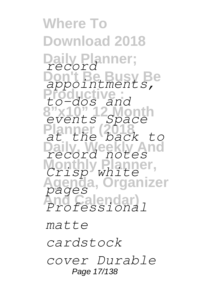**Where To Download 2018 Daily Planner;** *record* **Don't Be Busy Be Productive: 8"x10" 12 Month** *events Space* **Planner (2018 Daily, Weekly And Monthly Planner, Agenda, Organizer And Calendar)** *Professional appointments, to-dos and at the back to record notes Crisp white pages matte cardstock*

*cover Durable* Page 17/138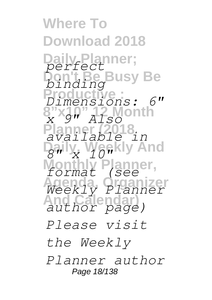**Where To Download 2018** lanner; **Busy Be Productive :** *Dimensions: 6"* **8"x10" 12 Month Planner (2018** And **Monthly Planner, Agenda, Organizer** *Weekly Planner* **And Calendar)** *author page) perfect binding x 9" Also available in 8" x 10" format (see Please visit the Weekly Planner author* Page 18/138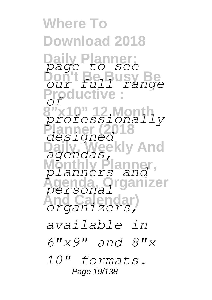**Where To Download 2018 Daily Planner; Don't Be Busy Be Productive: 8"x10" 12 Month** *professionally* **Planner (2018 Daily, Weekly And Monthly Planner, Agenda, Organizer And Calendar)** *organizers, page to see r full range*<br>ductive *of designed agendas, planners and personal available in 6"x9" and 8"x 10" formats.* Page 19/138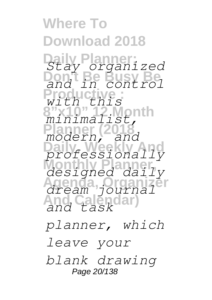**Where To Download 2018 Daily Planner; Don't Be Busy Be Productive : 8"x10" 12 Month Planner (2018 Daily, Weekly And** *professionally* **Monthly Planner, Agenda, Organizer And Calendar)** *and task Stay organized and in control with this minimalist, modern, and designed daily dream journal*

*planner, which leave your blank drawing* Page 20/138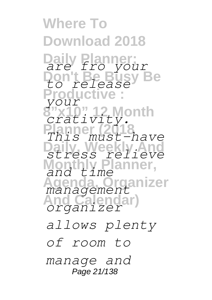**Where To Download 2018 Daily Planner;** *are fro your* **Don't Be Busy Be** *to release* **Production 8"x10" 12 Month** *crativity.* **Planner (2018 Daily, Weekly And Monthly Planner, Agenda, Organizer** *management* **And Calendar)** *your This must-have*  $ress$ *and time organizer allows plenty of room to manage and* Page 21/138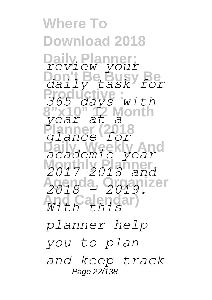**Where To Download 2018 Daily Planner; Don't Be Busy Be** *daily task for* Productive : **8"x10" 12 Month Planner (2018 Daily, Weekly And Monthly Planner, Agenda, Organizer And Calendar)** *With this review your 365 days with year at a glance for academic year 2017-2018 and 2018 - 2019. planner help you to plan*

*and keep track* Page 22/138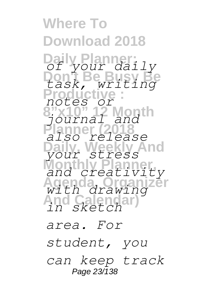**Where To Download 2018 Daily Planner; Don't Be Busy Be Productive : 8"x10" 12 Month Planner (2018 Daily, Weekly And Monthly Planner, Agenda, Organizer And Calendar)** *in sketch of your daily task, writing notes or journal and also release your stress and creativity with drawing area. For student, you can keep track*

Page 23/138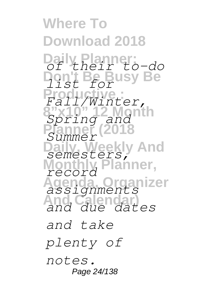**Where To Download 2018 Daily Planner; Don't Be Busy Be** *list for* **Productive :** *Fall/Winter,* **8"x10" 12 Month** *Spring and* **Planner (2018 Daily, Weekly And Monthly Planner, Agenda, Organizer** *assignments* **And Calendar)** *and due dates of their to-do Summer semesters, record and take plenty of notes.* Page 24/138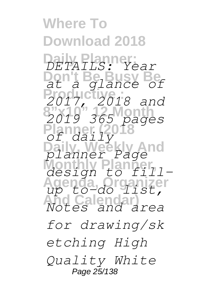**Where To Download 2018 Daily Planner; Don't Be Busy Be** *at a glance of* Productive<sub>1</sub>: **8"x10" 12 Month Planner (2018 Daily, Weekly And Monthly Planner, Agenda, Organizer And Calendar)** *DETAILS: Year 2017, 2018 and 2019 365 pages of daily planner Page design to fillup to-do list, Notes and area for drawing/sk etching High Quality White* Page 25/138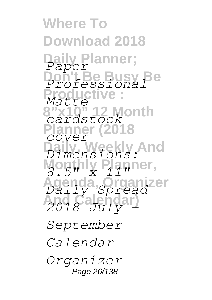**Where To Download 2018** lv Planner; **Don't Be Busy Be Productive : 812 Month Planner (2018 v** And **Monthly Planner, Agenda, Organizer** *Daily Spread* **And Calendar)** *2018 July - Paper Professional Matte cardstock cover Dimensions: 8.5" x 11" September Calendar Organizer*

Page 26/138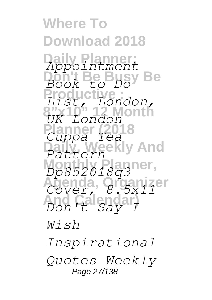**Where To Download 2018 Daily Planner; Don't Be Busy Be Productive : 8"x10" 12 Month Planner (2018 Daily, Weekly And Monthly Planner,** *Dp852018q3* **Agenda, Organizer And Calendar)** *Don't Say I Appointment Book to Do List, London, UK London Cuppa Tea Pattern Cover, 8.5x11 Wish Inspirational*

*Quotes Weekly* Page 27/138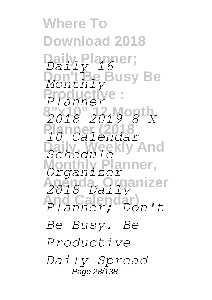**Where To Download 2018 Daily Planner;** *Daily 16* **Busy Be Productive : 8"x10" 12 Month Planner (2018** *10 Calendar* **And Monthly Planner,** *Organizer* **Agenda, Organizer And Calendar)** *Planner; Don't Monthly Planner 2018-2019 8 X Schedule 2018 Daily Be Busy. Be Productive Daily Spread* Page 28/138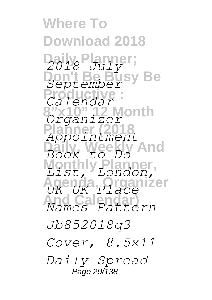**Where To Download 2018 Daily Planner;** *2018 July -* **Don't Be Busy Be** *September* **Productive :** *Calendar* **2 Month**<br>ze*r* **Planner (2018** e*nt*<br>kly And **Monthly Planner, Agenda, Organizer** *UK UK Place* Names Pa *Organ Appointment Book to Do*  $\overline{1}$   $\overline{5}$ *Names Pattern Jb852018q3 Cover, 8.5x11 Daily Spread* Page 29/138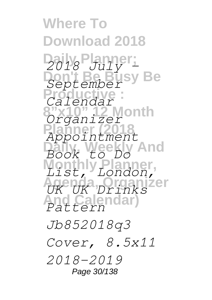**Where To Download 2018 Daily Planner;** *2018 July -* **Don't Be Busy Be** *September* **Productive :** *Calendar* **2 Month Planner (2018** e*nt*<br>kly And **Monthly Planner,** zer **And Calendar)** *Pattern Orqar Appointment Book to Do*  $\overline{1}$ *S UK UK Drinks Jb852018q3 Cover, 8.5x11 2018-2019*

Page 30/138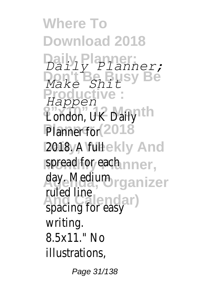**Where To Download 2018 Daily Planner; Don't Be Busy Be Productive :** *Happen* **Bondon, UK Daily Onth** Planner for (2018 2018yA fulleekly And spread for each nner, **Agenda, Organizer** day. Medium ruled line<br> *<u>Chacing</u>* for good ar *and ar Daily Planner; Make Shit* spacing for easy writing. 8.5x11." No illustrations,

Page 31/138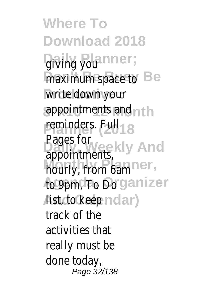**Where To Download 2018** giving you anner; maximum space to **Be** write down your appointments and nth **reminders.** Full<sub>018</sub> **David Weekly And** hourly from 6am<sup>ner</sup>, to 9pm, To Do rganizer Aist, do keep n clar) Pages for appointments, hourly, from 6am track of the activities that really must be done today, Page 32/138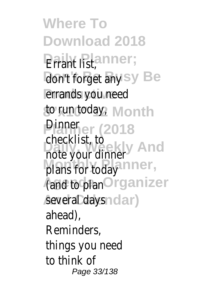**Where To Download 2018 Errant** list, anner; don't forget any sy Be **Production** end **30 run today, Month Pinner (2018 Directive Checkist, Weighty And** plans for today<sup>anner</sup>, **(and to plan Organizer** several days nolar) checklist, to ahead), Reminders, things you need to think of Page 33/138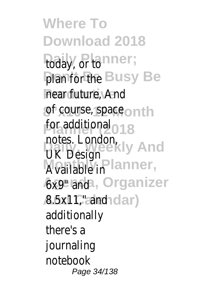**Where To Download 2018** today, or tonner; plan for the Busy Be near future, And: of course, space on th for additional 2018 notes. London,<br>Ill Decign Cekly And Available in Planner, **Ax9** and a, Organizer A.5x11," and nolar) UK Design additionally there's a journaling notebook Page 34/138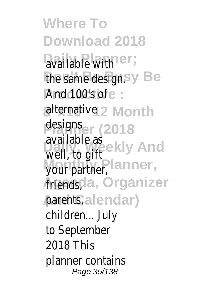**Where To Download 2018** available with ner; the same design.sy Be **And 100's of e:** alternativel 2 Month **designser** (2018 available as<br>wall to gifteekly And Worth **Warning Planner**, *Arendscla, Organizer* parents, alendar) available as well, to gift your partner, children... July to September 2018 This planner contains Page 35/138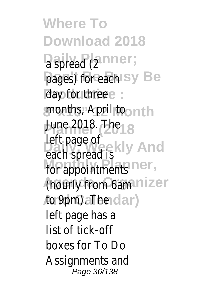**Where To Download 2018** a spread (2nner; pages) for each Sy Be **day** for three e: **8"x10" 12 Month** months, April to **June 2018** The 18 **Part page of** ekly And for appointments<sup>1</sup> ner, (hourly from 6am anizer **And Calendar)** to 9pm). The left page of left page has a list of tick-off boxes for To Do Assignments and Page 36/138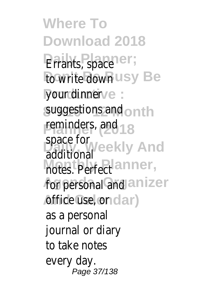**Where To Download 2018 Daily Planner;** Errants, space **to write down**e your udinner **8"x10" 12 Month** suggestions and reminders, and space for<br>addtiona<sup>c</sup>kly And notes. Perfect<sup>r</sup>, for personal and I **And Calcuse**, or additional as a personal journal or diary to take notes every day. Page 37/138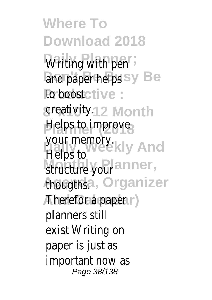**Where To Download 2018** Writing With pen and paper helps<sup>e</sup> **Productive :** to boost **8"x10" 12 Month** creativity. **Helps to improve** your memory.<br>Helps **+eekly** And structure your, **AgougthOrganizer And Calendar)** Therefor a paper Helps to planners still exist Writing on paper is just as important now as Page 38/138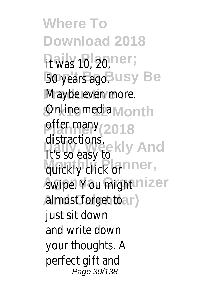**Where To Download 2018**  $\mu$ aiwas 190, 20, **Bonyears ago.** Be **Maybe even more. Online medianth Planemany** 8 distractions.<br><sub>11</sub>. Veekly And **Monthly click or** *Awipea You might* **And Calendar)** almost forget to It's so easy to just sit down and write down your thoughts. A perfect gift and Page 39/138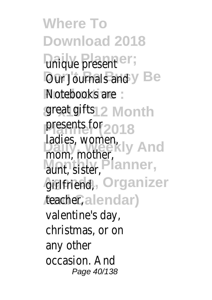**Where To Download 2018 Unique present Dur** Uburnals and Notebooks are great giftslonth **Planner (2018** presents for ladies, women,<br>more weekening Monthly Ster, ner, **Agrifriend, rganizer** Aeacherendar) mom, mother, valentine's day, christmas, or on any other occasion. And Page 40/138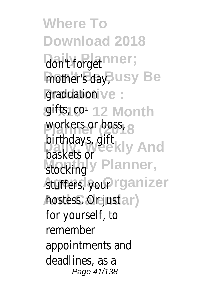**Where To Download 2018 Dailyt Flanget;** mother's day, Be graduation: **gifts, co-** Month **Planner (2018** workers or boss, birthdays, gift<br>**bask, Weekly** And stocking Planner, **Atuffers, Yourizer And Calendar)** hostess. Or just baskets or for yourself, to remember appointments and deadlines, as a Page 41/138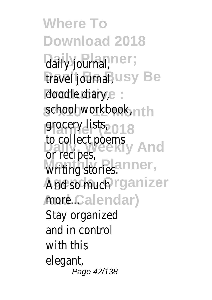**Where To Download 2018 Daily Barnar;** trave**Bjournal**, Be doodle diary, school workbook, **Planner (2018** grocery lists, to collect poems Writing stories. And so<sub>muchnizer</sub> *Andrealendar*) Dallyecipes, Stay organized and in control with this elegant, Page 42/138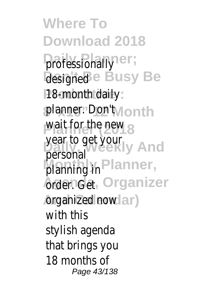**Where To Download 2018 professionally DesignedBusy Be P**B-month daily planner. Don't th wait for the new year to get your planning lianner, **Agenda, Getrganizer And Calendar)** organized now personal with this stylish agenda that brings you 18 months of Page 43/138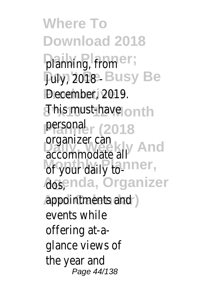**Where To Download 2018 Daily Planner;** planning, from **Dary, 2018 Isy Be** Pecember, 2019. **8"x10" 12 Month** This must-have **persona** 2018 **Digamizer** Carrier of your daily to-**Agsnda, Organizer And Calendar)** appointments and organizer can events while offering at-aglance views of the year and Page 44/138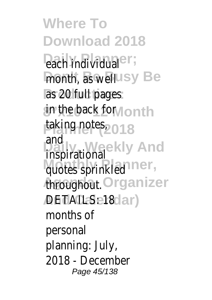**Where To Download 2018 Pach individual** month, as well<sup>e</sup> **Productive :** as 20 full pages **8"x10" 12 Month** in the back for **Planner (2018** taking notes, **Daily, Weekly And** inspirational **Monthly Planner,** quotes sprinkled Anroughout anizer *DETAILS: 181* and months of personal planning: July, 2018 - December Page 45/138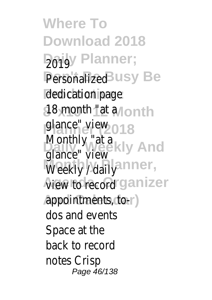**Where To Download 2018 Daily** Planner; Personalizedy Be dedication page **8 & month "at ta Plance"** views **Monthly "at a**<br>Rance" Weekly And Weekly / daily<sup>er</sup>, **View to recordzer And Calendar)** appointments, toglance" view dos and events Space at the back to record notes Crisp Page 46/138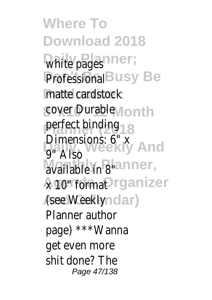**Where To Download 2018** White pages; Professionaly Be **Productive :** matte cardstock cover Durable<sub>th</sub> **Planner (2018 Dimensions: 6" x**<br>Daily Neekly And **Available in 8"er,** Agrod formatnizer **And Calendar)** (see Weekly perfect binding 9" Also Planner author page) \*\*\*Wanna get even more shit done? The Page 47/138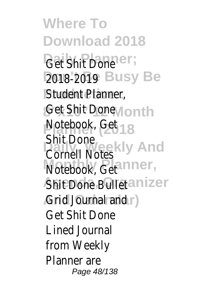**Where To Download 2018 Gaty Shit Done** 2018<sup>-</sup>2019 Se **Student Planner, Get Shit Done h Notebook**<sub>0</sub>Get **Cornell Notes** Notebook, Get<sup>r</sup>, Shit<sup>n</sup> Done Bulleter **Grid Cournal rand** Shit Done Get Shit Done Lined Journal from Weekly Planner are Page 48/138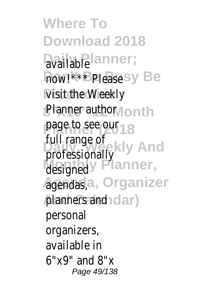**Where To Download 2018** availablanner; how!\*\*\* Please e **Wisit the Weekly** Planner authorh page to see our **Professionally** designed<sup>Planner</sup>, **Agenda, Organizer** agendas, planners and) full range of personal organizers, available in 6"x9" and 8"x Page 49/138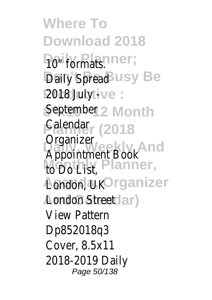**Where To Download 2018 Paily Brimats: Daily Spready Be Productive :** 2018 July - September<sub>lonth</sub> **Palendar<sub>2018</sub> Daily, Weekly And** Appointment Book Monbly **Blanner**, **Agenda, Organizer** London, UK **And Calendar)** London Street Organizer View Pattern Dp852018q3 Cover, 8.5x11 2018-2019 Daily Page 50/138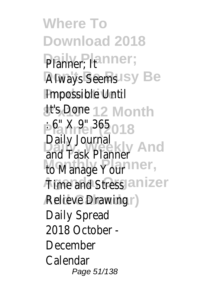**Where To Download 2018** Planner; **Always SeemsBe Productive :** Impossible Until **st's Done Month** Planne<sup>P</sup>(2365 **Daily, Weekly And** and Task Planner **Monthly Planner,** to Manage Your **Alme and Stresser And Calendar)** Relieve Drawing Daily Journal Daily Spread 2018 October - December Calendar Page 51/138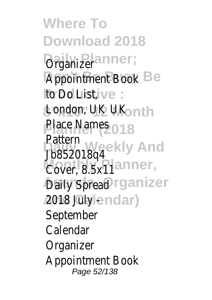**Where To Download 2018 Daily Planner;** Organizer **Appointment Book Productive :** to Do List, **8"x10" 12 Month** London, UK UK Place Names **Pattern**<br>Propoone Wand Cover, 8.5x11er, **Daily Spreadanizer 2018** aluly dar) Jb852018q4 September Calendar **Organizer** Appointment Book Page 52/138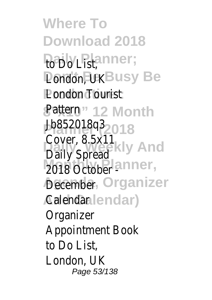**Where To Download 2018** Paib<sub>Blast,er;</sub> **Pondon, DKSY Be Pondon Tourist 8"x10" 12 Month** Pattern **Planner (2018** Jb852018q3 **Daily, Weekly And** Cover, 8.5x11 **Monthly Planner,** 2018 October - **December ganizer And Calendar)** Calendar Daily Spread Organizer Appointment Book to Do List, London, UK Page 53/138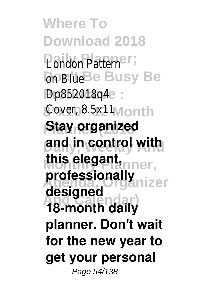**Where To Download 2018 Daily Planner;** London Pattern **DonBlue Busy Be Productive :** Dp852018q4 Cover, 8.5x11th **Stay organized Daily, Weekly And and in control with Monthly Planner, this elegant, Agenda, Organizer professionally And Calendar) 18-month daily designed planner. Don't wait for the new year to get your personal** Page 54/138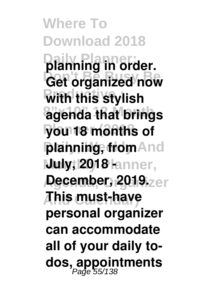**Where To Download 2018 Daily Planner; planning in order. Get organized now With this stylish 8"x10" 12 Month agenda that brings Planner (2018 you 18 months of planning, from And** *Muly***; 2018 lanner, December, 2019.**<br> **Lecember, 2019. And Calendar) This must-have personal organizer can accommodate all of your daily todos, appointments** Page 55/138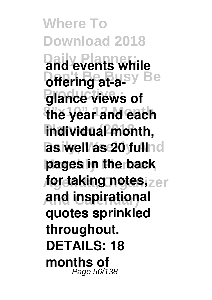**Where To Download 2018 Daily Planner; and events while Doffering at-aglance views of 8"x10" 12 Month the year and each**  $l$ **individual** month, **las well as 20 fullnd Monthly Planner, pages in the back for taking notes, And Calendar) and inspirational quotes sprinkled throughout. DETAILS: 18 months of** Page 56/138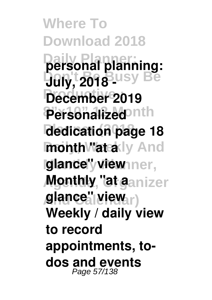**Where To Download 2018 Daily Planner; personal planning: July, 2018 USY Be Productive : December 2019** Personalized<sup>onth</sup> **Planner (2018 dedication page 18 month "ateady And lglance'y view mer, Monthly, "at aanizer And Calendar) glance" view Weekly / daily view to record appointments, todos and events** Page 57/138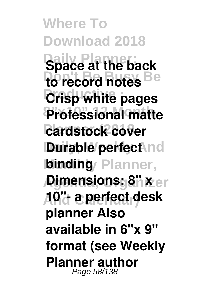**Where To Download 2018 Daily Planner; Space at the back** to record notes Be **Crisp white pages 8"x10" 12 Month Professional matte cardstock cover Durable perfect nd binding** Planner, **Agentsions: 8" xer And Calendar) 10"- a perfect desk planner Also available in 6"x 9" format (see Weekly Planner author** Page 58/138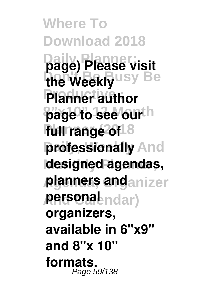**Where To Download 2018 Daily Planner; page) Please visit** the Weekly<sup>USy Be</sup> **Planner author page to see our**th **full range of 8 professionally** And **Monthly Planner, designed agendas, planners and**anizer **And Calendar) personal organizers, available in 6"x9" and 8"x 10" formats.** Page 59/138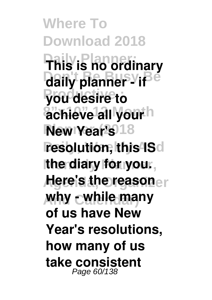**Where To Download 2018 Daily Planner; This is no ordinary** daily planner - if<sup>e</sup> **Productive : you desire to** achieve<sup>1</sup>all yourh **New Year's** 18 **resolution, this IS**d Ithe diary for you., **Here's the reasoner And Calendar) why - while many of us have New Year's resolutions, how many of us take consistent** Page 60/138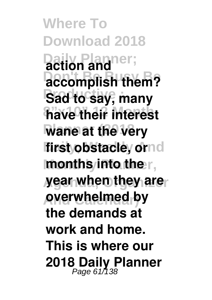**Where To Download 2018 Daily Planner; action and accomplish them?** Sad to say, many **8"x10" 12 Month have their interest wane at the very** first obstacle, ornd **months into the r, year when they are And Calendar) overwhelmed by the demands at work and home. This is where our 2018 Daily Planner** Page 61/138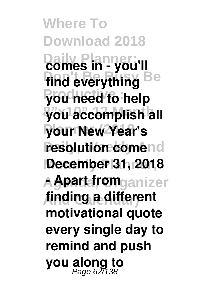**Where To Download 2018 Daily Planner; comes in - you'll** find everything Be **Productive : you need to help**  $\frac{1}{2}$  you accomplish all **Planner (2018 your New Year's resolution comend Monthly Planner, December 31, 2018 Agenda, Organizer - Apart from And Calendar) finding a different motivational quote every single day to remind and push you along to** Page 62/138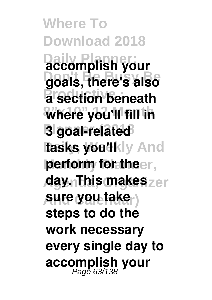**Where To Download 2018 Daily Planner; accomplish your Don't Be Busy Be goals, there's also**  $\frac{1}{2}$  section beneath  $%$  where you'll fill in **Planner (2018 3 goal-related** tasks you'll ly And **perform for theer, day. This makes** zer **And Calendar) sure you take steps to do the work necessary every single day to accomplish your** Page 63/138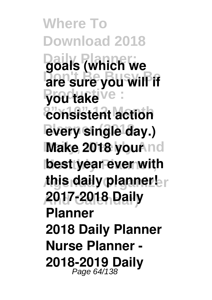**Where To Download 2018 Daily Planner; goals (which we** are sure you will if **Productive : you take 8"x10" 12 Month consistent action every single day.) Make 2018 your nd best year ever with** *this daily planner.* **And Calendar) 2017-2018 Daily Planner 2018 Daily Planner Nurse Planner - 2018-2019 Daily** Page 64/138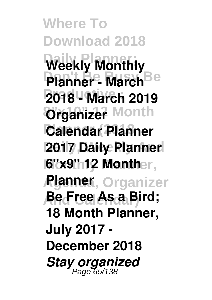**Where To Download 2018 Weekly Monthly Planner - March**<sup>Be</sup> **Productive : 2018 - March 2019 8 Month Planner (2018 Calendar Planner Daily, Weekly And 2017 Daily Planner 16"x9" 12 Monther, Agenda, Organizer Planner And Calendar) Be Free As a Bird; 18 Month Planner, July 2017 - December 2018** *Stay organized* Page 65/138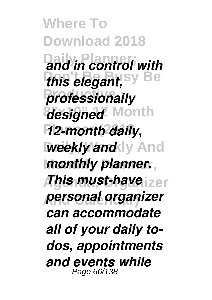**Where To Download 2018 Daily Planner;** *and in control with this elegant, sy* Be  $professionally$ *designed* Month **Planner (2018** *12-month daily, weekly and* ly And **Monthly Planner,** *monthly planner.*  $\pi$ bis must-have $_{\mathrm{izer}}$ **And Calendar)** *personal organizer can accommodate all of your daily todos, appointments and events while* Page 66/138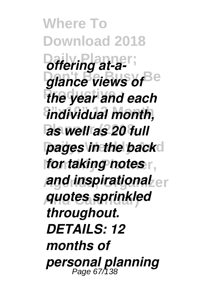**Where To Download 2018** *<u>Offering</u> at-a***glance views of Be** *the year and each* **8"x10" 12 Month** *individual month,* **Planner (2018** *as well as 20 full* **pages in the back**d *for taking notes* **And inspirational** er **And Calendar)** *quotes sprinkled throughout. DETAILS: 12 months of personal planning* Page 67/138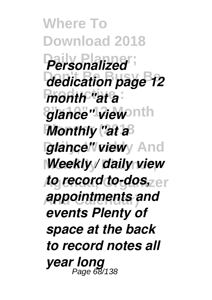**Where To Download 2018 Daily Planner;** *Personalized* **Don't Be Busy Be** *dedication page 12 month "at a*  $g$ lance" view nth *Monthly "at a***<sup>8</sup>** *glance" viewy And Weekly / daily view to record to-dos*, **er And Calendar)** *appointments and events Plenty of space at the back to record notes all year long* Page 68/138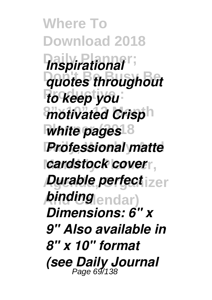**Where To Download 2018**  $Inspirational$ **Don't Be Busy Be** *quotes throughout*  $\overline{t}$ *o* keep you *motivated Crisp*<sup>h</sup> *<u>white</u> pages<sup>18</sup>* **Professional matte** *cardstock cover*, *Durable perfect* izer *<i>binding* endar) *Dimensions: 6" x 9" Also available in 8" x 10" format (see Daily Journal* Page 69/138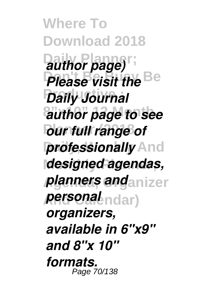**Where To Download 2018**  $a$ uthor page) **Please visit the Be Productive :** *Daily Journal* **8"x10" 12 Month** *author page to see <u>bur full</u> range of* **professionally** And **Monthly Planner,** *designed agendas, planners and***<sub>anizer</sub> And Calendar)** *personal organizers, available in 6"x9" and 8"x 10" formats.* Page 70/138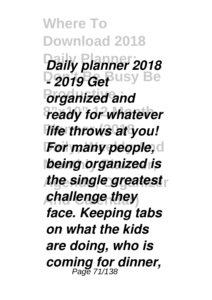**Where To Download 2018 Daily Planner;** *Daily planner 2018* **D2019 GePUSY Be** *<u><i>organized and*</u> *ready for whatever Hife throws at you! For many people,d* **being organized is** *the single greatest* **And Calendar)** *challenge they face. Keeping tabs on what the kids are doing, who is coming for dinner,* Page 71/138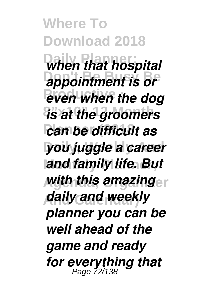**Where To Download 2018 When that hospital** appointment is or  $\frac{1}{2}$  *even when the dog*  $i$ s at the groomers *can be difficult as* **Daily, Weekly And** *you juggle a career* **Monthly Planner,** *and family life. But* **Agenda, Organizer** *with this amazing* **And Calendar)** *daily and weekly planner you can be well ahead of the game and ready for everything that* Page 72/138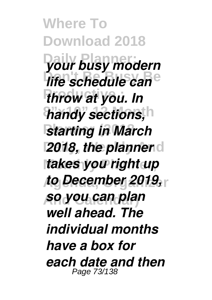**Where To Download 2018 Daily Planner;** *your busy modern life schedule can*<sup>e</sup> **Productive :** *throw at you. In* handy sections, h *starting in March* **2018, the planner**d **Monthly Planner,** *takes you right up* **Agenda, Organizer** *to December 2019,* **And Calendar)** *so you can plan well ahead. The individual months have a box for each date and then* Page 73/138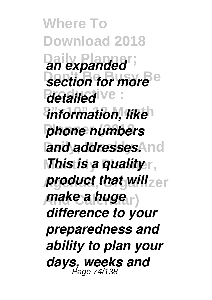**Where To Download 2018 Daily Planner;** *an expanded* **Section for more**<sup>e</sup> *detailed* ve: *information, like* **Planner (2018** *phone numbers* **and addresses. And** *Mhis is a quality<sub>F</sub>, product that will***<sub>zer</sub>**  $make a huge<sub>tr</sub>$ *difference to your preparedness and ability to plan your days, weeks and* Page 74/138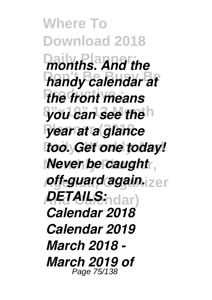**Where To Download 2018** *months. And the* **handy calendar at** *the front means* **8"x10" 12 Month** *you can see the* **Planner (2018** *year at a glance* **too.** Get one today! **Never be caught**, *off-guard again.* **zer And Calendar)** *DETAILS: Calendar 2018 Calendar 2019 March 2018 - March 2019 of* Page 75/138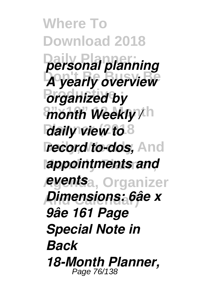**Where To Download 2018 Daily Planner;** *personal planning A yearly overview*  $P$ *organized by*  $m$ onth Weekly /<sup>th</sup> *daily view to* 8 **record to-dos, And Monthly Planner,** *appointments and* **Agenda, Organizer** *events* **And Calendar)** *Dimensions: 6âe x 9âe 161 Page Special Note in Back 18-Month Planner,* Page 76/138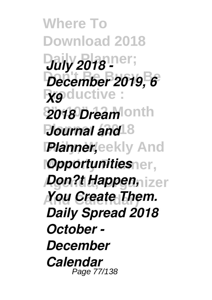**Where To Download 2018 Daiy 2018**<sup>1</sup> **Don't Be Busy Be** *December 2019, 6* **Productive**: **2018 Dream** onth *Journal and* 8 *Planner,eekly And Opportunitiesner, Don?t Happen, izer* **And Calendar)** *You Create Them. Daily Spread 2018 October - December Calendar* Page 77/138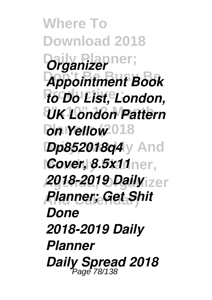**Where To Download 2018 Organizer Don't Be Busy Be** *Appointment Book*  $\overline{r}$ *to Do List, London,* **8"x10" 12 Month** *UK London Pattern <u>bn Yellow</u>*<sup>018</sup> *Dp852018q4* y And **Monthly Planner,** *Cover, 8.5x11* **Agenda, Organizer** *2018-2019 Daily* **And Calendar)** *Planner; Get Shit Done 2018-2019 Daily Planner Daily Spread 2018* Page 78/138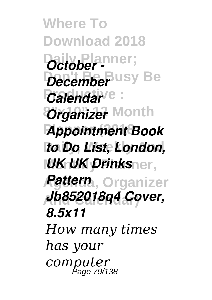**Where To Download 2018 Daily Planner;** *October - December* Usy Be *Calendar*<sup>e</sup>: *Organizer* Month **Planner (2018** *Appointment Book* **Daily, Weekly And** *to Do List, London, <i>|UK UK Drinksner, Rattern,* Organizer **And Calendar)** *Jb852018q4 Cover, 8.5x11 How many times has your computer* Page 79/138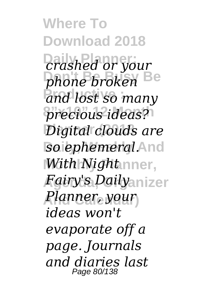**Where To Download 2018 Daily Planner;** *crashed or your phone broken* Be **Productive :** *and lost so many*  $precision$  *ideas?* **Planner (2018** *Digital clouds are so ephemeral.***And** *With Night* nner,  ${\it Fgiry}$ 's *Daily*anizer **And Calendar)** *Planner, your ideas won't evaporate off a page. Journals and diaries last* Page 80/138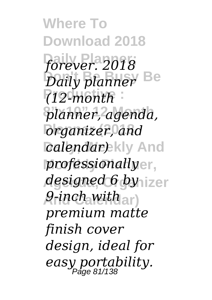**Where To Download 2018 Daily Planner;** *forever. 2018* **Don't Be Busy Be** *Daily planner* **Productive :** *(12-month* **8"x10" 12 Month** *planner, agenda,* **Planner (2018** *organizer, and calendar)* kly And **Monthly Planner,** *professionally designed 6 by* izer  $\rho$ -inch with  $_{\rm ar}$  ) *premium matte finish cover design, ideal for easy portability.* Page 81/138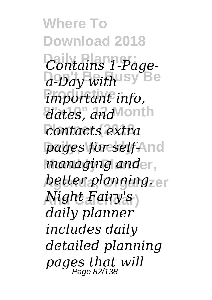**Where To Download 2018 Daily Planner;** *Contains 1-Page-***Don't Be Busy Be** *a-Day with*  $$ **8"x10" 12 Month** *dates, and*  $contacts extra$ **pages for self-And** *managing and*er, *better planning.* er **And Calendar)** *Night Fairy's daily planner includes daily detailed planning pages that will* Page 82/138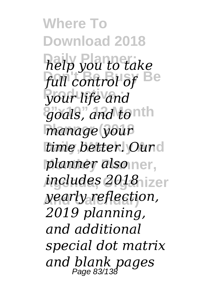**Where To Download 2018 Daily Planner;** *help you to take* full control of Be **Productive :** *your life and*  $9$ *oals, and tonth manage* your **time** better. Ound **Monthly Planner,** *planner also* **Agenda, Organizer** *includes 2018* **And Calendar)** *yearly reflection, 2019 planning, and additional special dot matrix and blank pages* Page 83/138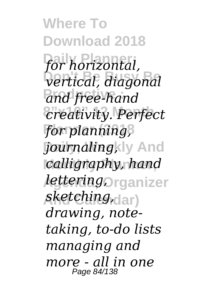**Where To Download 2018** for horizontal,  $\sqrt{2}$ *vertical, diagonal* and free-hand **8"x10" 12 Month** *creativity. Perfect* **Planner (2018** *for planning, Journalingkly* And **Monthly Planner,** *calligraphy, hand lettering***Organizer And Calendar)** *sketching, drawing, notetaking, to-do lists managing and more - all in one* Page 84/138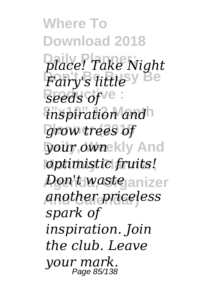**Where To Download 2018 Daily Planner;** *place! Take Night* **Don't Be Busy Be** *Fairy's little*  $\textit{seeds of}$ <sup>ve</sup>: *inspiration and* **Planner (2018** *grow trees of* **Daily, Weekly And** *your own* **Monthly Planner,** *optimistic fruits! Don't waste<sub>janizer</sub>* **And Calendar)** *another priceless spark of inspiration. Join the club. Leave your mark.* Page 85/138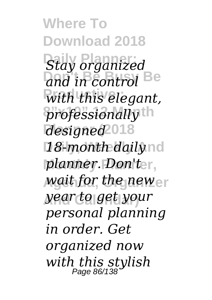**Where To Download 2018 Stay organized** and in control Be  $With$  this elegant,  $prof$ essionally<sup>th</sup> **Planner (2018** *designed* 18-month daily<sub>nd</sub> **Monthly Planner,** *planner. Don't wait for the new*er **And Calendar)** *year to get your personal planning in order. Get organized now with this stylish* Page 86/138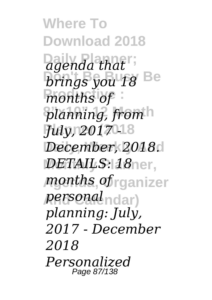**Where To Download 2018**  $\alpha$ *dgenda that* **brings you 18** Be  $m$ onths of **8"x10" 12 Month** *planning, from* **Planner (2018** *July, 2017 -* **Daily, Weekly And** *December, 2018. DETAILS: 18* ner, **Agenda, Organizer** *months of* **And Calendar)** *personal planning: July, 2017 - December 2018 Personalized* Page 87/138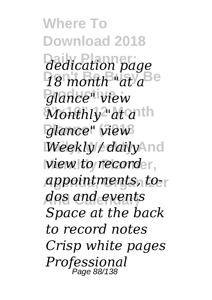**Where To Download 2018 Daily Planner;** *dedication page*  $18$  month at a<sup>Be</sup> **Productive :** *glance" view*  $Monthly$ " at anth **Planner (2018** *glance" view* **Daily, Weekly And** *Weekly / daily wiew to recorder,* **Agenda, Organizer** *appointments, to-***And Calendar)** *dos and events Space at the back to record notes Crisp white pages Professional* Page 88/138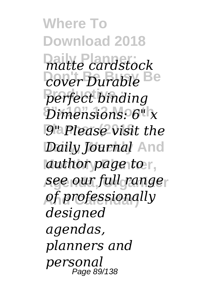**Where To Download 2018 Daily Planner;** *matte cardstock* **Don't Be Busy Be** *cover Durable*  $perfect$  *binding*  $Dimensions. 6" x$ **Planner (2018** *9" Please visit the Daily Journal* And *author page* **to r, Agenda, Organizer** *see our full range* **And Calendar)** *of professionally designed agendas, planners and personal* Page 89/138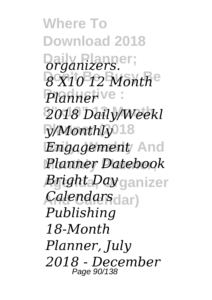**Where To Download 2018 Daily Planner;** *organizers.* **Don't Be Busy Be** *8 X10 12 Month* Planner<sup>ive</sup>: **8"x10" 12 Month** *2018 Daily/Weekl* y/Monthly<sup>018</sup> *Engagement* And **Monthly Planner,** *Planner Datebook Bright Day* ganizer **And Calendar)** *Calendars Publishing 18-Month Planner, July 2018 - December* Page 90/138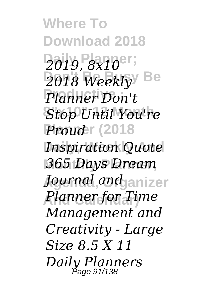**Where To Download 2018 Daily Planner;** *2019, 8x10* **Don't Be Busy Be** *2018 Weekly* **Productive :** *Planner Don't*  $Stop$ *Until You're* **Proud**<sup>r</sup> (2018 **Inspiration Quote Monthly Planner,** *365 Days Dream*  $J{\color{black}$ *Journal and* Janizer **And Calendar)** *Planner for Time Management and Creativity - Large Size 8.5 X 11 Daily Planners* Page 91/138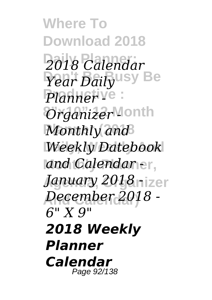**Where To Download 2018 Daily Planner;** *2018 Calendar* **Don't Be Busy Be** *Year Daily*  $Planner <sup>V</sup>$  :  $O$ rganizer<sup>Month</sup> *Monthly and* **Daily, Weekly And** *Weekly Datebook* **Monthly Planner,** *and Calendar -* **Agenda, Organizer** *January 2018 -* **And Calendar)** *December 2018 - 6" X 9" 2018 Weekly Planner Calendar* Page 92/138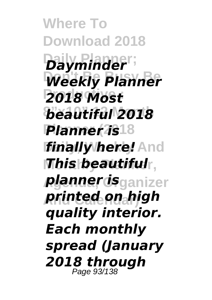**Where To Download 2018**  $Dayminder$ ; **Weekly Planner Productive :** *2018 Most* **8"x10" 12 Month** *beautiful 2018* **Planner (2018** *Planner is finally here!* **And Monthly Planner,** *This beautiful* **Agenda, Organizer** *planner is* **And Calendar)** *printed on high quality interior. Each monthly spread (January 2018 through* Page 93/138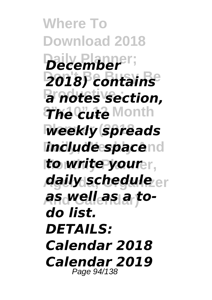**Where To Download 2018 Daily Planner;** *December* **Don't Be Busy Be** *2018) contains*  $a$  notes section, **8"x10" 12 Month** *The cute* **Weekly spreads include spacend** *to write yourer, daily schedule* **And Calendar)** *as well as a todo list. DETAILS: Calendar 2018 Calendar 2019* Page 94/138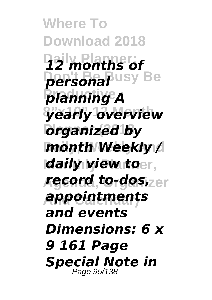**Where To Download 2018 Daily Planner;** *12 months of personal* usy Be **Productive :** *planning A* **8"x10" 12 Month** *yearly overview <u>organized</u> by* **Daily, Weekly And** *month Weekly /* **Monthly Planner,** *daily view to* **Agenda, Organizer** *record to-dos,* **And Calendar)** *appointments and events Dimensions: 6 x 9 161 Page Special Note in* Page 95/138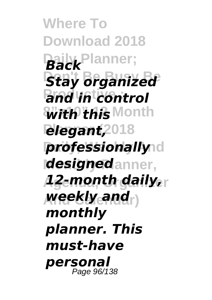**Where To Download 2018 Daily Planner;** *Back* **Stay organized Productive :** *and in control* **8"x10" 12 Month** *with this <u>elegant,2018</u>* **professionally** d *designedanner,* **Agenda, Organizer** *12-month daily,* **And Calendar)** *weekly and monthly planner. This must-have personal* Page 96/138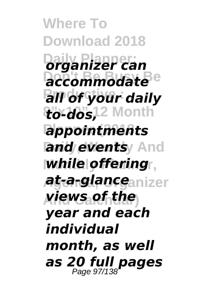**Where To Download 2018 Daily Planner;** *organizer can* accommodate<sup>Be</sup> **Productive :** *all of your daily* **8"x10" 12 Month** *to-dos,* **Planner (2018** *appointments and events* And **Monthly Planner,** *while offering* **Agenda, Organizer** *at-a-glance* **And Calendar)** *views of the year and each individual month, as well as 20 full pages* Page 97/138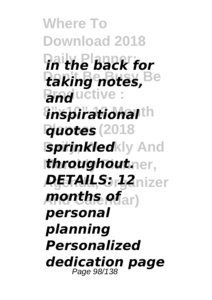**Where To Download 2018 Daily Planner;** *in the back for* **Don't Be Busy Be** *taking notes,* **Pand**uctive: *inspirational*th **Planner (2018** *quotes Sprinkledkly And <i>throughoutner,* **Agenda, Organizer** *DETAILS: 12* **And Calendar)** *months of personal planning Personalized dedication page* Page 98/138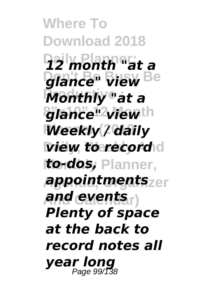**Where To Download 2018 Daily Planner;** *12 month "at a* **glance"** view Be **Productive :** *Monthly "at a* **8"x10" 12 Month** *glance" view* **Planner (2018** *Weekly / daily view to record* **Monthly Planner,** *to-dos,* **Agenda, Organizer** *appointments* **And Calendar)** *and events Plenty of space at the back to record notes all year long* Page 99/138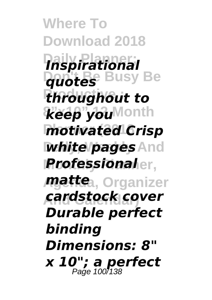**Where To Download 2018 Daily Planner;** *Inspirational* **Don't Be Busy Be** *quotes* **Productive :** *throughout to*  $\mathcal{H}$ eep you<sup>Month</sup> *motivated* Crisp *White pages* **And Monthly Planner,** *Professional matte*a, Organizer **And Calendar)** *cardstock cover Durable perfect binding Dimensions: 8" x 10"; a perfect* Page 100/138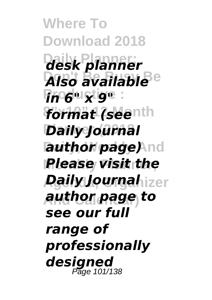**Where To Download 2018 Daily Planner;** *desk planner* **Don't Be Busy Be** *Also available* **Productive :** *in 6" x 9" format (seenth* **Planner (2018** *Daily Journal* **author page)** nd **Monthly Planner,** *Please visit the Daily Journahizer* **And Calendar)** *author page to see our full range of professionally designed* Page 101/138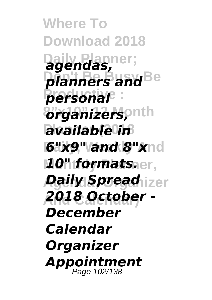**Where To Download 2018 Daily Planner;** *agendas, planners and* **Be**  $P$  *personal*  $\alpha$ rganizers, onth **Planner (2018** *available in* **6"x9" and 8"xnd** *10" formats.er, Daily Spread***<sub>izer</sub> And Calendar)** *2018 October - December Calendar Organizer Appointment* Page 102/138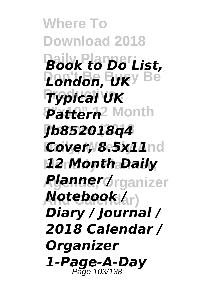**Where To Download 2018 Daily Planner;** *Book to Do List,* **Don't Be Busy Be** *London, UK* **Productive :** *Typical UK* **8"x10" 12 Month** *Pattern* **Planner (2018** *Jb852018q4 Cover, 8.5x11***nd Monthly Planner,** *12 Month Daily* **Agenda, Organizer** *Planner /*  $\bm{Notebook}$ k $_{\rm (dr)}$ *Diary / Journal / 2018 Calendar / Organizer 1-Page-A-Day* Page 103/138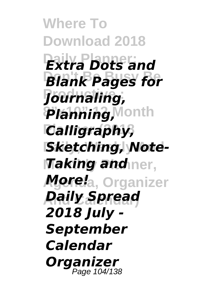**Where To Download 2018 Daily Planner;** *Extra Dots and* **Blank Pages for Productive :** *Journaling,* **8"x10" 12 Month** *Planning,* **Planner (2018** *Calligraphy,* **Sketching, Note-***<i>Taking and***<sub>ner,</sub> Agenda, Organizer** *More!* **And Calendar)** *Daily Spread 2018 July - September Calendar Organizer* Page 104/138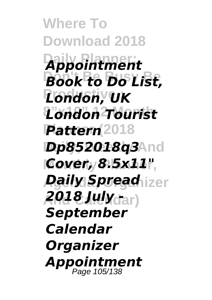**Where To Download 2018 Daily Planner;** *Appointment* **Don't Be Busy Be** *Book to Do List,* **Productive :** *London, UK* **8"x10" 12 Month** *London Tourist* Pattern<sup>(2018</sup> **Dp852018q3And Monthly Planner,** *Cover, 8.5x11" Daily Spread***<sub>izer</sub> And Calendar)** *2018 July - September Calendar Organizer Appointment* Page 105/138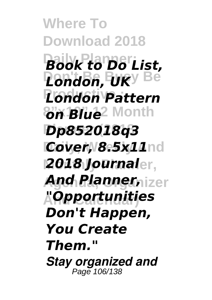**Where To Download 2018 Daily Planner;** *Book to Do List,* **Don't Be Busy Be** *London, UK* **Productive :** *London Pattern* **8"x10" 12 Month** *on Blue* **Planner (2018** *Dp852018q3 Cover, 8.5x11***nd Monthly Planner,** *2018 Journal And Planner, izer* **And Calendar)** *"Opportunities Don't Happen, You Create Them." Stay organized and* Page 106/138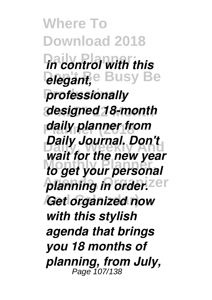**Where To Download 2018 Daily Planner;** *in control with this* **Degant, Busy Be**  $professionally$ **8"x10" 12 Month** *designed 18-month* **Planner (2018** *daily planner from* **Daily Journal. Don't Monthly Planner,** *to get your personal* **planning in order.** Zer **And Calendar)** *Get organized now wait for the new year with this stylish agenda that brings you 18 months of planning, from July,* Page 107/138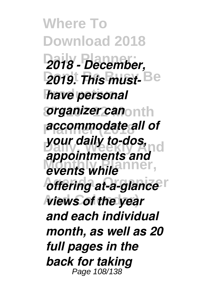**Where To Download 2018 Daily Planner;** *2018 - December,* **2019. This must-Be have personal 8"x10" 12 Month** *organizer can* **Planner (2018** *accommodate all of* **your daily to-dos,<br>***your daily to-dos***, nd** events while<sup>nner</sup>, *offering at-a-glance views of the year appointments and and each individual month, as well as 20 full pages in the back for taking* Page 108/138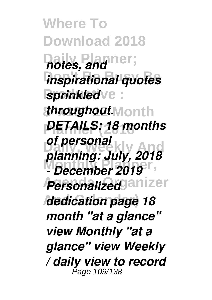**Where To Download 2018 Daily Planner;** *notes, and inspirational quotes sprinkled*  $\cdot e$  : **8"x10" 12 Month** *throughout.* **Planner (2018** *DETAILS: 18 months* **Daily, Weekly And** *planning: July, 2018* **Monthly Planner,** *- December 2019 Personalized* anizer **And Calendar)** *dedication page 18 of personal month "at a glance" view Monthly "at a glance" view Weekly / daily view to record* Page 109/138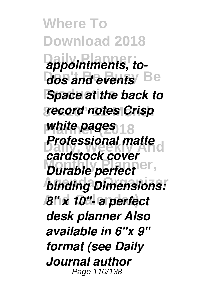**Where To Download 2018**  $2$ *appointments, todos and events* Be **Space at the back to 8"x10" 12 Month** *record notes Crisp white pages* 18 *Professional matte Durable perfect*<sup>ner,</sup> *binding Dimensions:* **And Calendar)** *8" x 10"- a perfect cardstock cover desk planner Also available in 6"x 9" format (see Daily Journal author* Page 110/138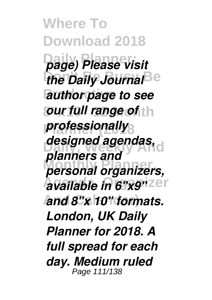**Where To Download 2018 Daily Planner;** *page) Please visit the Daily Journal*<sup>Be</sup> **Pauthor page to see** *our full range of* **th**  $professionally$ designed agendas, **Monthly Planner,** *personal organizers, available in 6"x9"***zer And Calendar)** *and 8"x 10" formats. planners and London, UK Daily Planner for 2018. A full spread for each day. Medium ruled* Page 111/138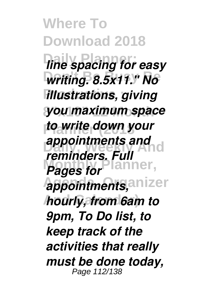**Where To Download 2018** *line spacing for easy* **Don't Be Busy Be** *writing. 8.5x11." No*  $H$ *illustrations, giving* **8"x10" 12 Month** *you maximum space* **Planner (2018** *to write down your* **appointments and<br>
<b>***appointments and Pages for Pages for* appointments, anizer **And Calendar)** *hourly, from 6am to reminders. Full 9pm, To Do list, to keep track of the activities that really must be done today,* Page 112/138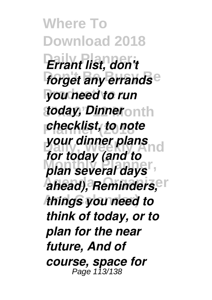**Where To Download 2018 Daily Planner;** *Errant list, don't forget any errands*<sup>e</sup> **Productive :** *you need to run* **8"x10" 12 Month** *today, Dinner* **Planner (2018** *checklist, to note* **your dinner plans** *plan several days*  $A$ ahead), Reminders, <sup>Pr</sup> **And Calendar)** *things you need to for today (and to think of today, or to plan for the near future, And of course, space for* Page 113/138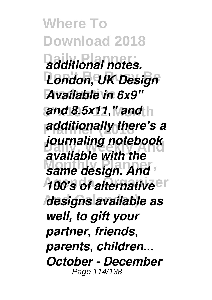**Where To Download 2018 Daily Planner;** *additional notes.* **London, UK Design Available in 6x9" and 8.5x11," and** h **Planner (2018** *additionally there's a* **Daily, Weekly And** *journaling notebook* **Monthly Planner,** *same design. And A00's of alternative* **And Calendar)** *designs available as available with the well, to gift your partner, friends, parents, children... October - December* Page 114/138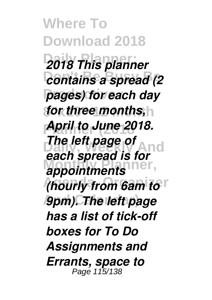**Where To Download 2018 Daily Planner;** *2018 This planner <u>contains</u> a spread (2)* **pages) for each day 8"x10" 12 Month** *for three months,* **Planner (2018** *April to June 2018. Delett page of* And appointments<sup>ner</sup>, *(hourly from 6am to<sup>r</sup>* **And Calendar)** *9pm). The left page each spread is for has a list of tick-off boxes for To Do Assignments and Errants, space to* Page 115/138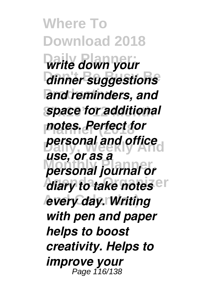**Where To Download 2018 Daily Planner;** *write down your* **Don't Be Busy Be** *dinner suggestions* and reminders, and **space for additional Planner (2018** *notes. Perfect for Dersonal and office* **Monthly Planner,** *personal journal or diary to take notes* **And Calendar)** *every day. Writing use, or as a with pen and paper helps to boost creativity. Helps to improve your* Page 116/138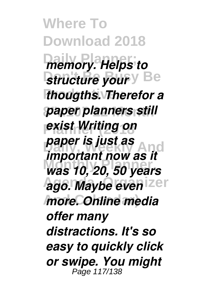**Where To Download 2018 Daily Planner;** *memory. Helps to Structure your*  $\theta$  Be **Productive :** *thougths. Therefor a* **paper planners still Planner (2018** *exist Writing on paper is just as*<br>*Paper is just as* And **Monthly Planner,** *was 10, 20, 50 years* **Ago. Maybe even** zer **And Calendar)** *more. Online media important now as it offer many distractions. It's so easy to quickly click or swipe. You might* Page 117/138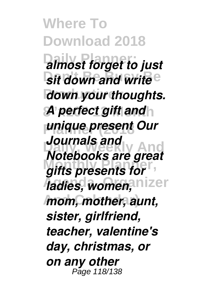**Where To Download 2018 Daily Planner;** *almost forget to just sit down and write*<sup>e</sup> *down your thoughts. A perfect gift and* **Planner (2018** *unique present Our* **Daily, Weekly And** *Notebooks are great Motopoons are gree*  $I$ adies, women, nizer **And Calendar)** *mom, mother, aunt, Journals and sister, girlfriend, teacher, valentine's day, christmas, or on any other* Page 118/138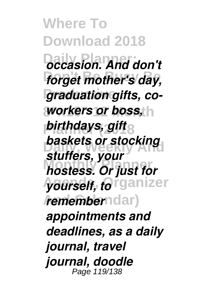**Where To Download 2018 Daily Planner;** *occasion. And don't* **forget mother's day,** *<u>graduation</u> gifts, coworkers or boss,* h *birthdays, gift* **baskets or stocking Monthly Planner,** *hostess. Or just for*  $\gamma$ ourself, *fo*rganizer *drememberndar) stuffers, your appointments and deadlines, as a daily journal, travel journal, doodle* Page 119/138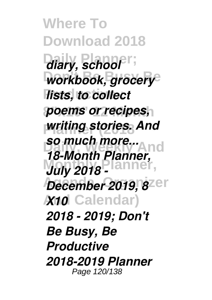**Where To Download 2018** diary, school<sup>Pr</sup>; workbook, grocery<sup>®</sup> **lists, to collect 8"x10" 12 Month** *poems or recipes, writing stories. And* **so much more...**<br>**18 Martie Blomand** *Maly 2018 - lanner*, *December 2019, 8***<sup>2er</sup> And Calendar)** *X10 18-Month Planner, 2018 - 2019; Don't Be Busy, Be Productive 2018-2019 Planner* Page 120/138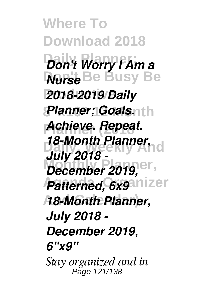**Where To Download 2018 Daily Planner;** *Don't Worry I Am a* **Don't Be Busy Be** *Nurse* **Productive :** *2018-2019 Daily Planner; Goals.rth* **Planner (2018** *Achieve. Repeat.* **Daily, Weekly And** *18-Month Planner, December 2019,* <sup>er</sup> *Patterned, 6x9* **nizer And Calendar)** *18-Month Planner, July 2018 - July 2018 - December 2019, 6"x9" Stay organized and in* Page 121/138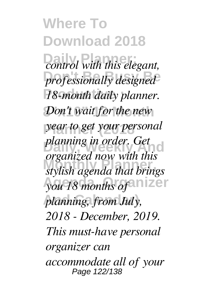**Where To Download 2018**  $\overline{control}$  with this elegant,  $professionally designed^2$ **18-month daily planner.** Don't wait for the new **Planner (2018** *year to get your personal* **Daily, Weekly And** *organized now with this* **Monthly Planner,** *stylish agenda that brings you 18 months of* anizer **And Calendar)** *planning, from July, planning in order. Get 2018 - December, 2019. This must-have personal organizer can accommodate all of your* Page 122/138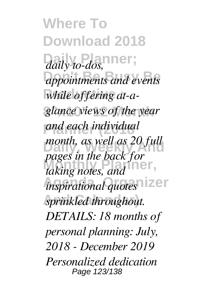**Where To Download 2018** daily to-dos, appointments and events while offering at-a-**8"x10" 12 Month** *glance views of the year* **Planner (2018** *and each individual* month, as well as 20 full *Monthly manufacture pages in the back you inspirational quotes* **And Calendar)** *sprinkled throughout. pages in the back for DETAILS: 18 months of personal planning: July, 2018 - December 2019 Personalized dedication* Page 123/138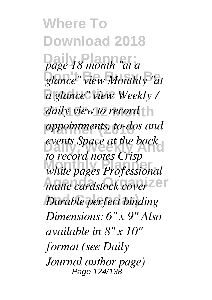**Where To Download 2018 Daily Planner;** *page 18 month "at a* **Don't Be Busy Be** *glance" view Monthly "at* **Productive :** *a glance" view Weekly /* daily view to record **Planner (2018** *appointments, to-dos and* events Space at the back **Monthly Planner,** *white pages Professional matte cardstock cover*<sup>zer</sup> *Durable perfect binding to record notes Crisp Dimensions: 6" x 9" Also available in 8" x 10" format (see Daily Journal author page)* Page 124/138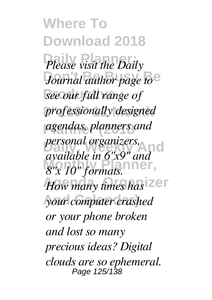**Where To Download 2018** Please visit the Daily Journal author page to<sup>e</sup> **Productive :** *see our full range of*  $professionally designed$ **Planner (2018** *agendas, planners and personal organizers*, *And* **Monthly Planner,** *8"x 10" formats.* How many times has Zer **And Calendar)** *your computer crashed available in 6"x9" and or your phone broken and lost so many precious ideas? Digital clouds are so ephemeral.* Page 125/138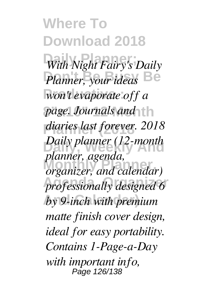**Where To Download 2018 Daily Planner;** *With Night Fairy's Daily* **Planner**, your ideas  $\mathbb{B}e$  $w$ on't evaporate off a *page. Journals and*  $\dagger$  h **Planner (2018** *diaries last forever. 2018 Daily planner (12-month* **Monthly Planner,** *organizer, and calendar)* professionally designed 6 **And Calendar)** *by 9-inch with premium planner, agenda, matte finish cover design, ideal for easy portability. Contains 1-Page-a-Day with important info,* Page 126/138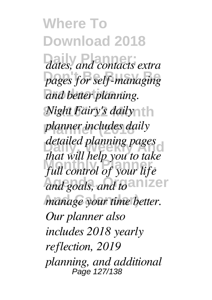**Where To Download 2018 Daily Planner;** *dates, and contacts extra* pages for self-managing  $and$  better planning. *Night Fairy's daily* **Planner (2018** *planner includes daily* detailed planning pages **Monthly Planner,** *full control of your life and goals, and to* anizer *manage your time better. that will help you to take Our planner also includes 2018 yearly reflection, 2019 planning, and additional* Page 127/138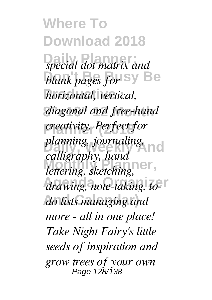**Where To Download 2018 Daily Planner;** *special dot matrix and blank pages for* Sy Be  $horizontal$ , vertical, diagonal and free-hand  $\frac{1}{2}$  *creativity. Perfect for planning, journaling*, nd **Monthly Planner,** *lettering, sketching,* drawing, note-taking, to-**And Calendar)** *do lists managing and calligraphy, hand more - all in one place! Take Night Fairy's little seeds of inspiration and grow trees of your own* Page 128/138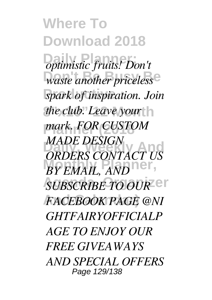**Where To Download 2018 Daily Planner;** *optimistic fruits! Don't*  $\overline{a}$  waste another priceless<sup>e</sup> **Productive :** *spark of inspiration. Join the club. Leave your* h **Planner (2018** *mark. FOR CUSTOM* **DRIVE DESIGN**<br> **ORDERS CONTACT US BY EMAIL, AND SUBSCRIBE TO OUR CT And Calendar)** *FACEBOOK PAGE @NI MADE DESIGN GHTFAIRYOFFICIALP AGE TO ENJOY OUR FREE GIVEAWAYS AND SPECIAL OFFERS* Page 129/138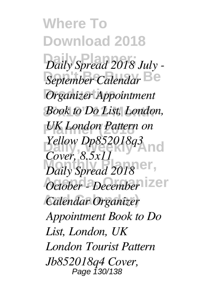**Where To Download 2018** Daily Spread 2018 July -**September Calendar**<sup>Be</sup> *Organizer Appointment* Book to Do List, London,  $UK$  *London Pattern on Yellow Dp852018q3 Daily Spread 2018*<sup>101</sup>, **Agenda, Organizer** *October - December* **And Calendar)** *Calendar Organizer Cover, 8.5x11 Appointment Book to Do List, London, UK London Tourist Pattern Jb852018q4 Cover,* Page 130/138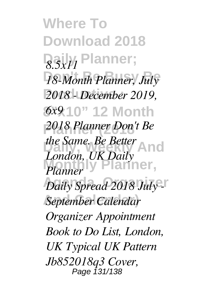**Where To Download 2018 Daily Planner;** *8.5x11* 18-Month Planner, July **Productive :** *2018 - December 2019,* **8"x10" 12 Month** *6x9* **Planner (2018** *2018 Planner Don't Be the Same. Be Better* **And** lanner. *Daily Spread 2018 July* **And Calendar)** *September Calendar London, UK Daily Planner Organizer Appointment Book to Do List, London, UK Typical UK Pattern Jb852018q3 Cover,* Page 131/138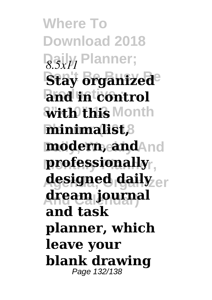**Where To Download 2018 Daily Planner;** *8.5x11* **Stay brganized**<sup>e</sup> and in control **8"x10" 12 Month with this minimalist,8 modern, and**And **professionally designed daily** er **And Calendar) dream journal and task planner, which leave your blank drawing** Page 132/138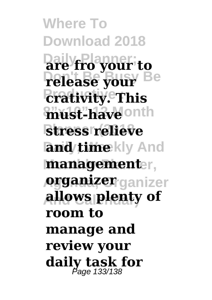**Where To Download 2018 Daily Planner; are fro your to Don't Be Busy Be release your Productive : crativity. This 8"x10" 12 Month must-have stress relieve land/time**kly And **Monthly Planner, management Agenda, Organizer organizer And Calendar) allows plenty of room to manage and review your daily task for** Page 133/138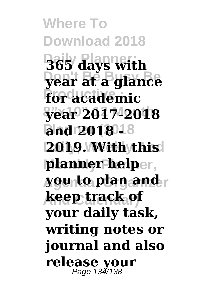**Where To Download 2018 Daily Planner; 365 days with Don't Be Busy Be year at a glance**  $\overline{\textbf{for}}$  academic **8"x10" 12 Month year 2017-2018 Planner (2018 and 2018 - 2019. With this |planner help**er, **you to plan and r And Calendar) keep track of your daily task, writing notes or journal and also release your** Page 134/138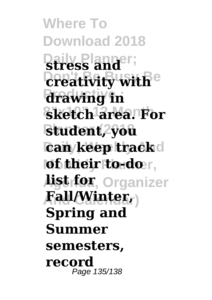**Where To Download 2018 Daily Planner; stress and** *<u>Dreativity with</u>e* **Productive : drawing in 8"x10" 12 Month sketch area. For Planner (2018 student, you can/keep track**d **|of their to-do**r,  $\mathbf{list}$  for, Organizer **And Calendar) Fall/Winter, Spring and Summer semesters, record** Page 135/138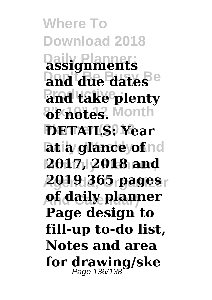**Where To Download 2018 Daily Planner; assignments Don't Be Busy Be and due dates Pand take plenty 8"x10" 12 Month of notes. Planner (2018 DETAILS: Year latia glance of** nd **Monthly Planner, 2017, 2018 and 2019 365 pages And Calendar) of daily planner Page design to fill-up to-do list, Notes and area for drawing/ske** Page 136/138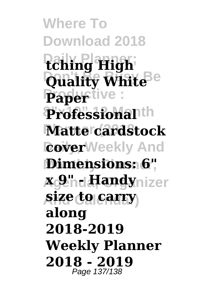**Where To Download 2018 Daily Planner; tching High Quality White**<sup>Be</sup> **Papertive**:  $$ **Planner (2018 Matte cardstock RoverWeekly And Dimensions: 6",** *x***g9"hd#Tandynizer And Calendar) size to carry along 2018-2019 Weekly Planner 2018 - 2019** Page 137/138